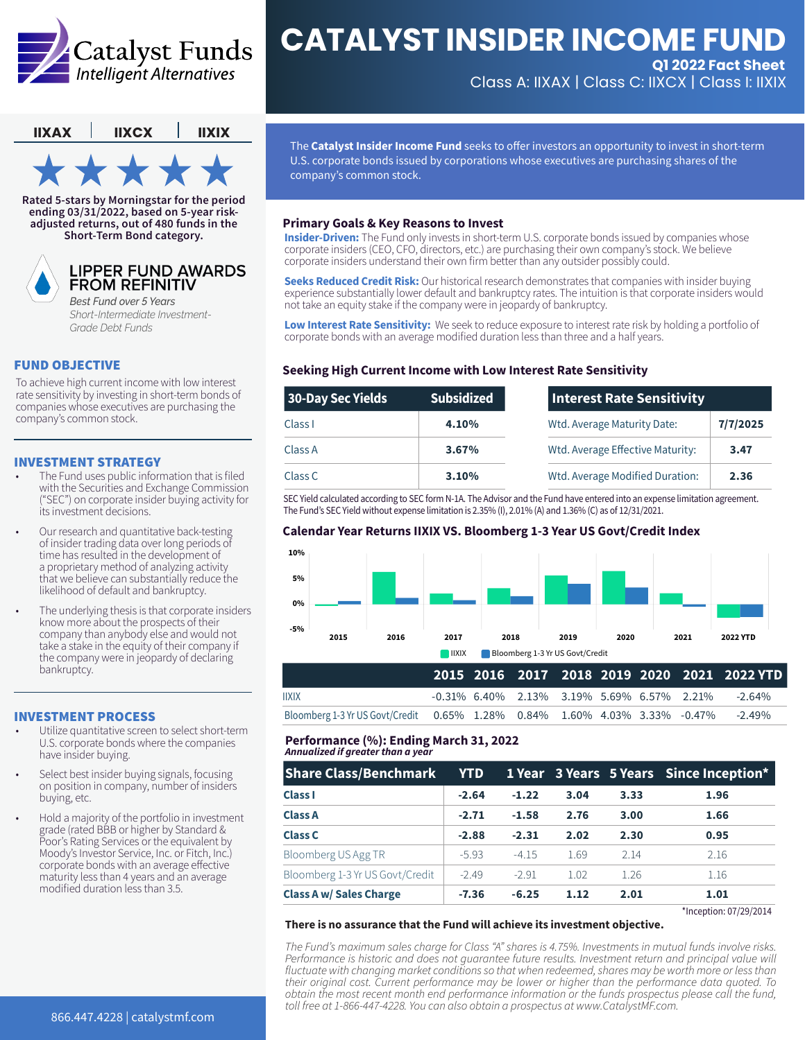

# **CATALYST INSIDER INCOME FUND Q1 2022 Fact Sheet**

Class A: IIXAX | Class C: IIXCX | Class I: IIXIX

**IIXAX IIXCX IIXIX**

**Rated 5-stars by Morningstar for the period ending 03/31/2022, based on 5-year riskadjusted returns, out of 480 funds in the Short-Term Bond category.**



## **LIPPER FUND AWARDS FROM REFINITIV**

*Best Fund over 5 Years Short-Intermediate Investment-Grade Debt Funds*

# FUND OBJECTIVE

To achieve high current income with low interest rate sensitivity by investing in short-term bonds of companies whose executives are purchasing the company's common stock.

### INVESTMENT STRATEGY

- The Fund uses public information that is filed with the Securities and Exchange Commission ("SEC") on corporate insider buying activity for its investment decisions.
- Our research and quantitative back-testing of insider trading data over long periods of time has resulted in the development of a proprietary method of analyzing activity that we believe can substantially reduce the likelihood of default and bankruptcy.
- The underlying thesis is that corporate insiders know more about the prospects of their company than anybody else and would not take a stake in the equity of their company if the company were in jeopardy of declaring bankruptcy.

#### INVESTMENT PROCESS

- Utilize quantitative screen to select short-term U.S. corporate bonds where the companies have insider buying.
- Select best insider buying signals, focusing on position in company, number of insiders buying, etc.
- Hold a majority of the portfolio in investment grade (rated BBB or higher by Standard & Poor's Rating Services or the equivalent by Moody's Investor Service, Inc. or Fitch, Inc.) corporate bonds with an average effective maturity less than 4 years and an average modified duration less than 3.5.

The **Catalyst Insider Income Fund** seeks to offer investors an opportunity to invest in short-term U.S. corporate bonds issued by corporations whose executives are purchasing shares of the company's common stock.

#### **Primary Goals & Key Reasons to Invest**

**Insider-Driven:** The Fund only invests in short-term U.S. corporate bonds issued by companies whose corporate insiders (CEO, CFO, directors, etc.) are purchasing their own company's stock. We believe corporate insiders understand their own firm better than any outsider possibly could.

**Seeks Reduced Credit Risk:** Our historical research demonstrates that companies with insider buying experience substantially lower default and bankruptcy rates. The intuition is that corporate insiders would not take an equity stake if the company were in jeopardy of bankruptcy.

**Low Interest Rate Sensitivity:** We seek to reduce exposure to interest rate risk by holding a portfolio of corporate bonds with an average modified duration less than three and a half years.

# **Seeking High Current Income with Low Interest Rate Sensitivity**

| 30-Day Sec Yields | <b>Subsidized</b> | Interest Rate Sensitivity                |  |
|-------------------|-------------------|------------------------------------------|--|
| Class I           | 4.10%             | Wtd. Average Maturity Date:<br>7/7/2025  |  |
| Class A           | 3.67%             | Wtd. Average Effective Maturity:<br>3.47 |  |
| Class C           | 3.10%             | Wtd. Average Modified Duration:<br>2.36  |  |

SEC Yield calculated according to SEC form N-1A. The Advisor and the Fund have entered into an expense limitation agreement. The Fund's SEC Yield without expense limitation is 2.35% (I), 2.01% (A) and 1.36% (C) as of 12/31/2021.

#### **Calendar Year Returns IIXIX VS. Bloomberg 1-3 Year US Govt/Credit Index**



Bloomberg 1-3 Yr US Govt/Credit 0.65% 1.28% 0.84% 1.60% 4.03% 3.33% -0.47% -2.49%

#### **Performance (%): Ending March 31, 2022** *Annualized if greater than a year*

| <b>Share Class/Benchmark</b>    | <b>YTD</b> |         |      |      | 1 Year 3 Years 5 Years Since Inception* |
|---------------------------------|------------|---------|------|------|-----------------------------------------|
| <b>Class I</b>                  | $-2.64$    | $-1.22$ | 3.04 | 3.33 | 1.96                                    |
| <b>Class A</b>                  | $-2.71$    | $-1.58$ | 2.76 | 3.00 | 1.66                                    |
| <b>Class C</b>                  | $-2.88$    | $-2.31$ | 2.02 | 2.30 | 0.95                                    |
| <b>Bloomberg US Agg TR</b>      | $-5.93$    | $-4.15$ | 1.69 | 2.14 | 2.16                                    |
| Bloomberg 1-3 Yr US Govt/Credit | $-2.49$    | $-2.91$ | 1.02 | 1.26 | 1.16                                    |
| <b>Class A w/ Sales Charge</b>  | $-7.36$    | $-6.25$ | 1.12 | 2.01 | 1.01                                    |

#### **There is no assurance that the Fund will achieve its investment objective.**

*The Fund's maximum sales charge for Class "A" shares is 4.75%. Investments in mutual funds involve risks.*  Performance is historic and does not quarantee future results. Investment return and principal value will *fluctuate with changing market conditions so that when redeemed, shares may be worth more or less than their original cost. Current performance may be lower or higher than the performance data quoted. To obtain the most recent month end performance information or the funds prospectus please call the fund, toll free at 1-866-447-4228. You can also obtain a prospectus at www.CatalystMF.com.*

\*Inception: 07/29/2014